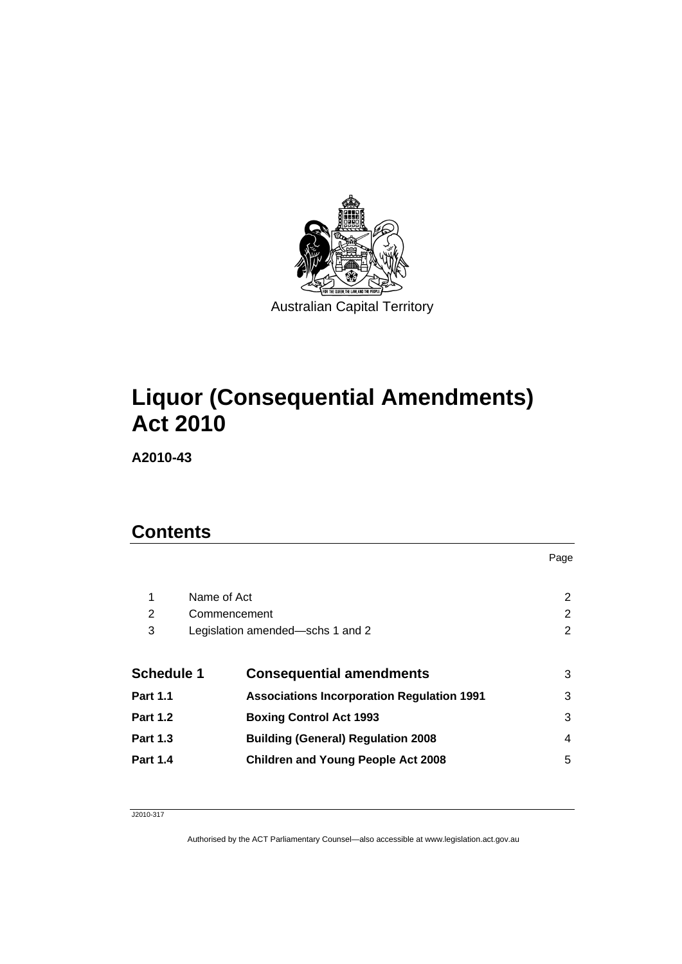

# **[Liquor \(Consequential Amendments\)](#page-2-0)  [Act 2010](#page-2-0)**

**A2010-43** 

## **Contents**

| 1                 | Name of Act                                       |   |
|-------------------|---------------------------------------------------|---|
| 2                 | Commencement                                      |   |
| 3                 | Legislation amended—schs 1 and 2                  |   |
|                   |                                                   |   |
| <b>Schedule 1</b> | <b>Consequential amendments</b>                   | 3 |
| <b>Part 1.1</b>   | <b>Associations Incorporation Regulation 1991</b> | 3 |
| <b>Part 1.2</b>   | <b>Boxing Control Act 1993</b>                    | 3 |
| <b>Part 1.3</b>   | <b>Building (General) Regulation 2008</b>         | 4 |
| <b>Part 1.4</b>   | <b>Children and Young People Act 2008</b>         | 5 |
|                   |                                                   |   |

Page

#### J2010-317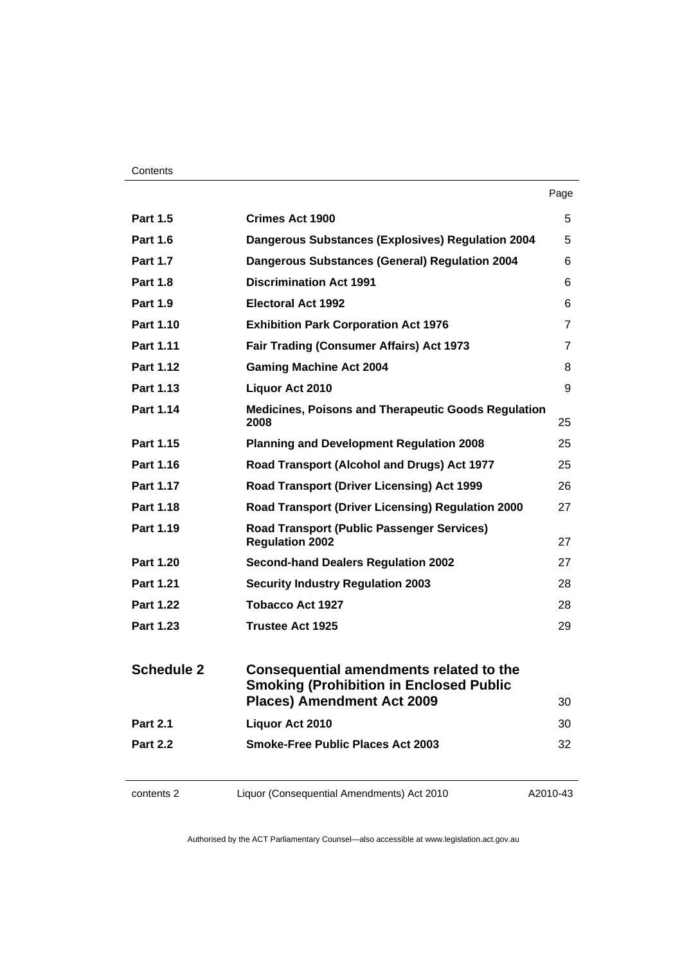| <b>Part 1.5</b>   | <b>Crimes Act 1900</b>                                                                    | 5              |
|-------------------|-------------------------------------------------------------------------------------------|----------------|
| <b>Part 1.6</b>   | <b>Dangerous Substances (Explosives) Regulation 2004</b>                                  | 5              |
| <b>Part 1.7</b>   | <b>Dangerous Substances (General) Regulation 2004</b>                                     | 6              |
| <b>Part 1.8</b>   | <b>Discrimination Act 1991</b>                                                            | 6              |
| <b>Part 1.9</b>   | <b>Electoral Act 1992</b>                                                                 | 6              |
| <b>Part 1.10</b>  | <b>Exhibition Park Corporation Act 1976</b>                                               | 7              |
| Part 1.11         | <b>Fair Trading (Consumer Affairs) Act 1973</b>                                           | $\overline{7}$ |
| <b>Part 1.12</b>  | <b>Gaming Machine Act 2004</b>                                                            | 8              |
| Part 1.13         | Liquor Act 2010                                                                           | 9              |
| Part 1.14         | Medicines, Poisons and Therapeutic Goods Regulation<br>2008                               | 25             |
| Part 1.15         | <b>Planning and Development Regulation 2008</b>                                           | 25             |
| Part 1.16         | Road Transport (Alcohol and Drugs) Act 1977                                               | 25             |
| Part 1.17         | Road Transport (Driver Licensing) Act 1999                                                | 26             |
| <b>Part 1.18</b>  | Road Transport (Driver Licensing) Regulation 2000                                         | 27             |
| Part 1.19         | <b>Road Transport (Public Passenger Services)</b><br><b>Regulation 2002</b>               | 27             |
| <b>Part 1.20</b>  | <b>Second-hand Dealers Regulation 2002</b>                                                | 27             |
| <b>Part 1.21</b>  | <b>Security Industry Regulation 2003</b>                                                  | 28             |
| <b>Part 1.22</b>  | Tobacco Act 1927                                                                          | 28             |
| <b>Part 1.23</b>  | <b>Trustee Act 1925</b>                                                                   | 29             |
| <b>Schedule 2</b> | Consequential amendments related to the<br><b>Smoking (Prohibition in Enclosed Public</b> |                |
|                   | <b>Places) Amendment Act 2009</b>                                                         | 30             |
| <b>Part 2.1</b>   | Liquor Act 2010                                                                           | 30             |
| <b>Part 2.2</b>   | <b>Smoke-Free Public Places Act 2003</b>                                                  | 32             |

contents 2 Liquor (Consequential Amendments) Act 2010

A2010-43

Page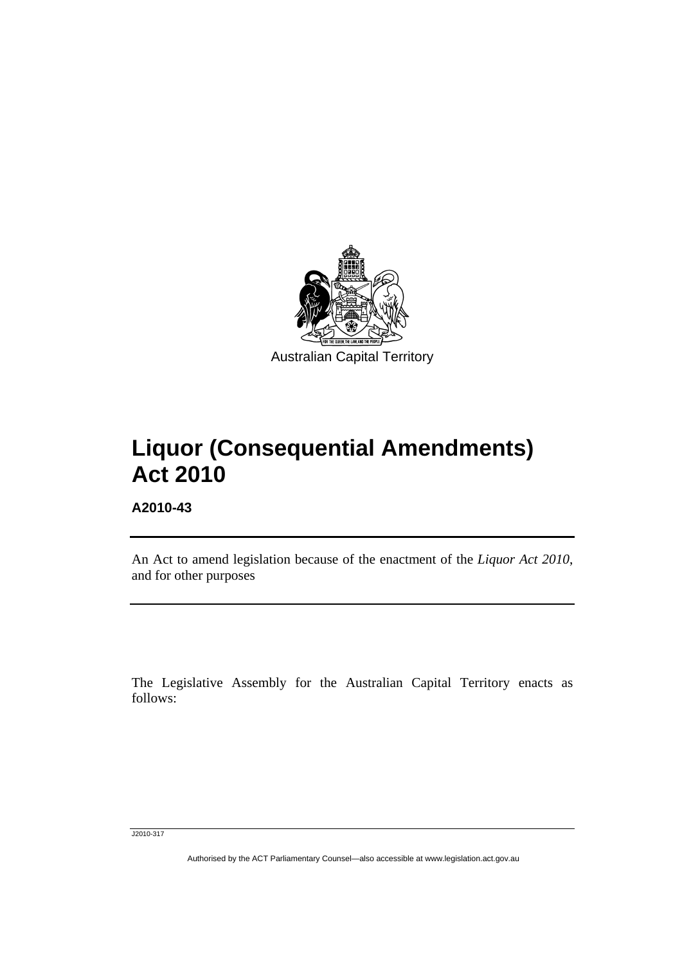<span id="page-2-0"></span>

# **Liquor (Consequential Amendments) Act 2010**

**A2010-43** 

l

An Act to amend legislation because of the enactment of the *Liquor Act 2010*, and for other purposes

The Legislative Assembly for the Australian Capital Territory enacts as follows:

J2010-317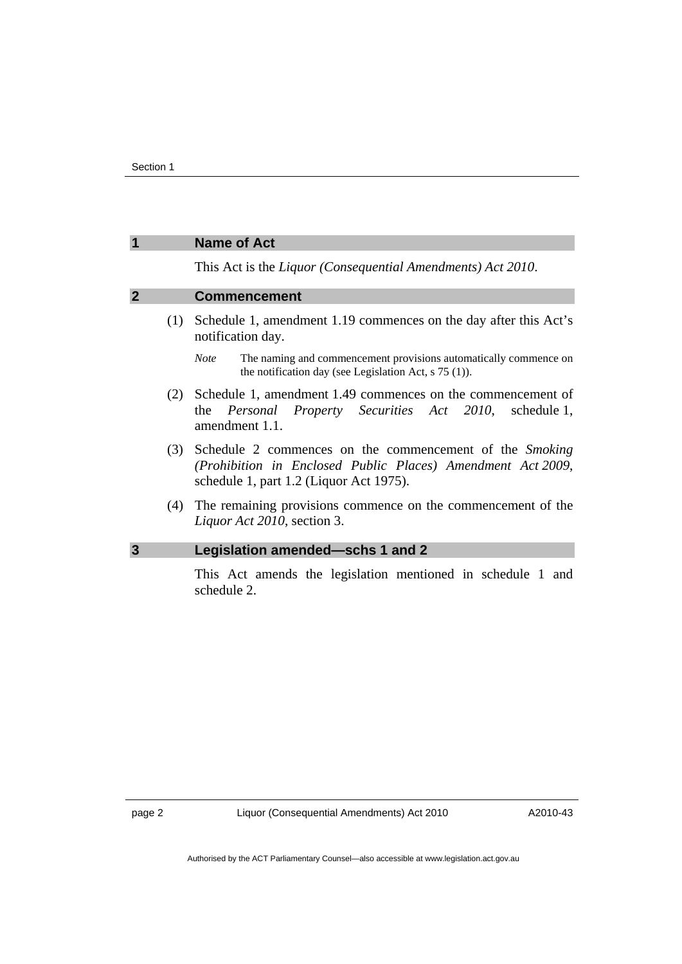#### <span id="page-3-0"></span>**1 Name of Act**

This Act is the *Liquor (Consequential Amendments) Act 2010*.

#### **2 Commencement**

- (1) Schedule 1, amendment 1.19 commences on the day after this Act's notification day.
	- *Note* The naming and commencement provisions automatically commence on the notification day (see Legislation Act, s 75 (1)).
- (2) Schedule 1, amendment 1.49 commences on the commencement of the *Personal Property Securities Act 2010*, schedule 1, amendment 1.1.
- (3) Schedule 2 commences on the commencement of the *Smoking (Prohibition in Enclosed Public Places) Amendment Act 2009*, schedule 1, part 1.2 (Liquor Act 1975).
- (4) The remaining provisions commence on the commencement of the *Liquor Act 2010*, section 3.

#### **3 Legislation amended—schs 1 and 2**

This Act amends the legislation mentioned in schedule 1 and schedule 2.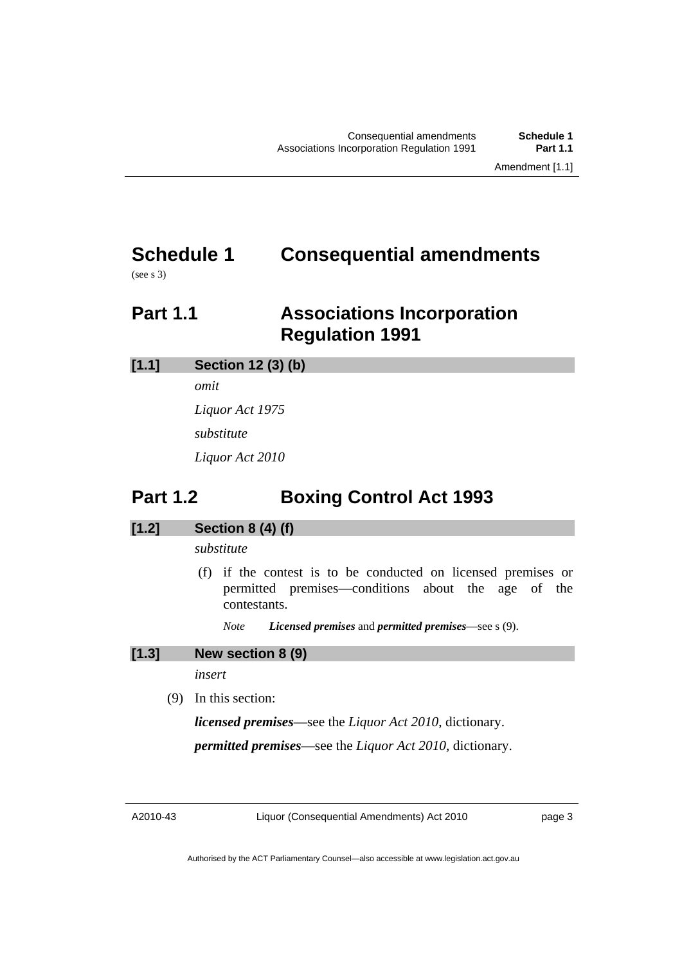## <span id="page-4-0"></span>**Schedule 1 Consequential amendments**

(see s 3)

## **Part 1.1 Associations Incorporation Regulation 1991**

## **[1.1] Section 12 (3) (b)**

*omit* 

*Liquor Act 1975 substitute Liquor Act 2010* 

## **Part 1.2 Boxing Control Act 1993**

## **[1.2] Section 8 (4) (f)**

*substitute* 

- (f) if the contest is to be conducted on licensed premises or permitted premises—conditions about the age of the contestants.
	- *Note Licensed premises* and *permitted premises*—see s (9).

### **[1.3] New section 8 (9)**

*insert* 

(9) In this section:

*licensed premises*—see the *Liquor Act 2010*, dictionary.

*permitted premises*—see the *Liquor Act 2010*, dictionary.

A2010-43

Liquor (Consequential Amendments) Act 2010

page 3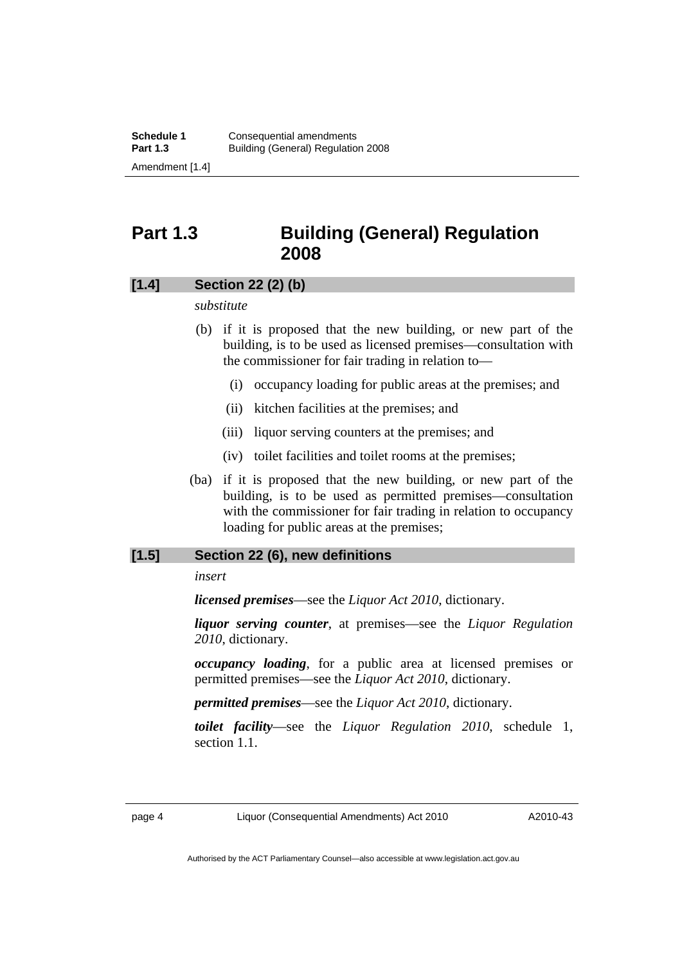## <span id="page-5-0"></span>**Part 1.3 Building (General) Regulation 2008**

#### **[1.4] Section 22 (2) (b)**

#### *substitute*

- (b) if it is proposed that the new building, or new part of the building, is to be used as licensed premises—consultation with the commissioner for fair trading in relation to—
	- (i) occupancy loading for public areas at the premises; and
	- (ii) kitchen facilities at the premises; and
	- (iii) liquor serving counters at the premises; and
	- (iv) toilet facilities and toilet rooms at the premises;
- (ba) if it is proposed that the new building, or new part of the building, is to be used as permitted premises—consultation with the commissioner for fair trading in relation to occupancy loading for public areas at the premises;

#### **[1.5] Section 22 (6), new definitions**

#### *insert*

*licensed premises*—see the *Liquor Act 2010*, dictionary.

*liquor serving counter*, at premises—see the *Liquor Regulation 2010*, dictionary.

*occupancy loading*, for a public area at licensed premises or permitted premises—see the *Liquor Act 2010*, dictionary.

*permitted premises*—see the *Liquor Act 2010*, dictionary.

*toilet facility*—see the *Liquor Regulation 2010*, schedule 1, section 1.1.

A2010-43

Authorised by the ACT Parliamentary Counsel—also accessible at www.legislation.act.gov.au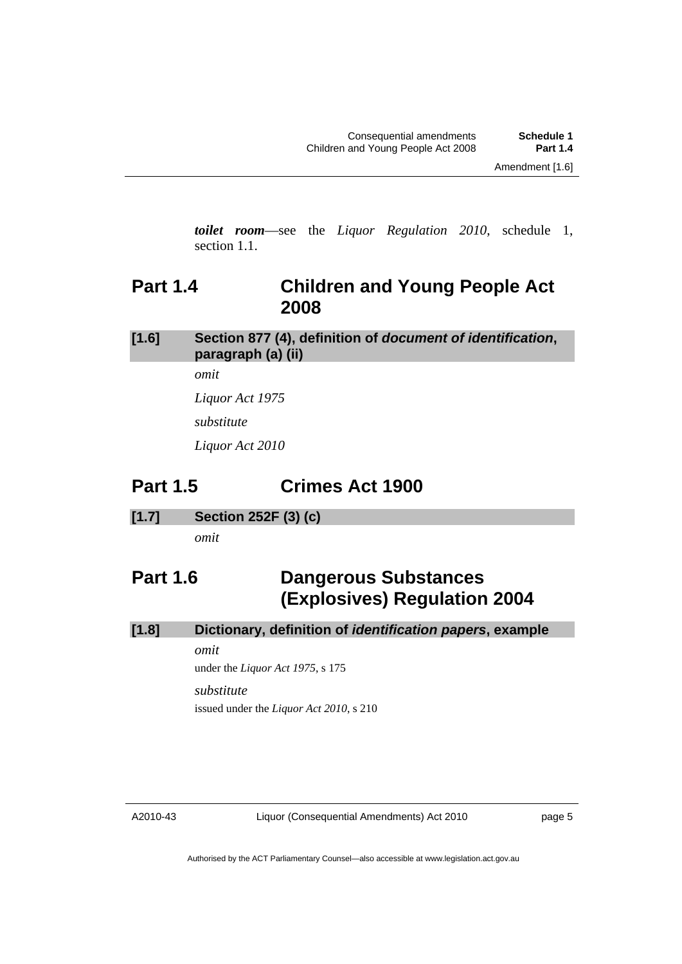<span id="page-6-0"></span>*toilet room*—see the *Liquor Regulation 2010*, schedule 1, section 1.1.

## **Part 1.4 Children and Young People Act 2008**

## **[1.6] Section 877 (4), definition of** *document of identification***, paragraph (a) (ii)**

*omit* 

*Liquor Act 1975* 

*substitute* 

*Liquor Act 2010* 

## **Part 1.5 Crimes Act 1900**

**[1.7] Section 252F (3) (c)** 

*omit* 

## **Part 1.6 Dangerous Substances (Explosives) Regulation 2004**

## **[1.8] Dictionary, definition of** *identification papers***, example**

*omit* 

under the *Liquor Act 1975*, s 175

#### *substitute*

issued under the *Liquor Act 2010*, s 210

page 5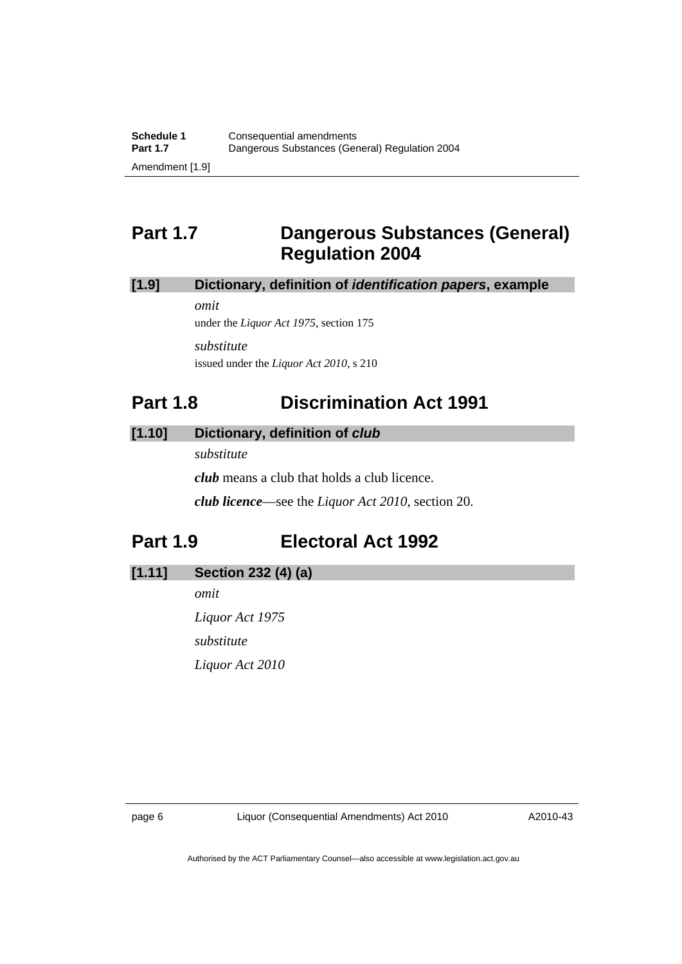## <span id="page-7-0"></span>**Part 1.7 Dangerous Substances (General) Regulation 2004**

### **[1.9] Dictionary, definition of** *identification papers***, example**

*omit* 

under the *Liquor Act 1975*, section 175 *substitute*  issued under the *Liquor Act 2010*, s 210

## **Part 1.8 Discrimination Act 1991**

### **[1.10] Dictionary, definition of** *club*

*substitute* 

*club* means a club that holds a club licence.

*club licence*—see the *Liquor Act 2010*, section 20.

## **Part 1.9 Electoral Act 1992**

**[1.11] Section 232 (4) (a)** 

*omit Liquor Act 1975 substitute Liquor Act 2010* 

A2010-43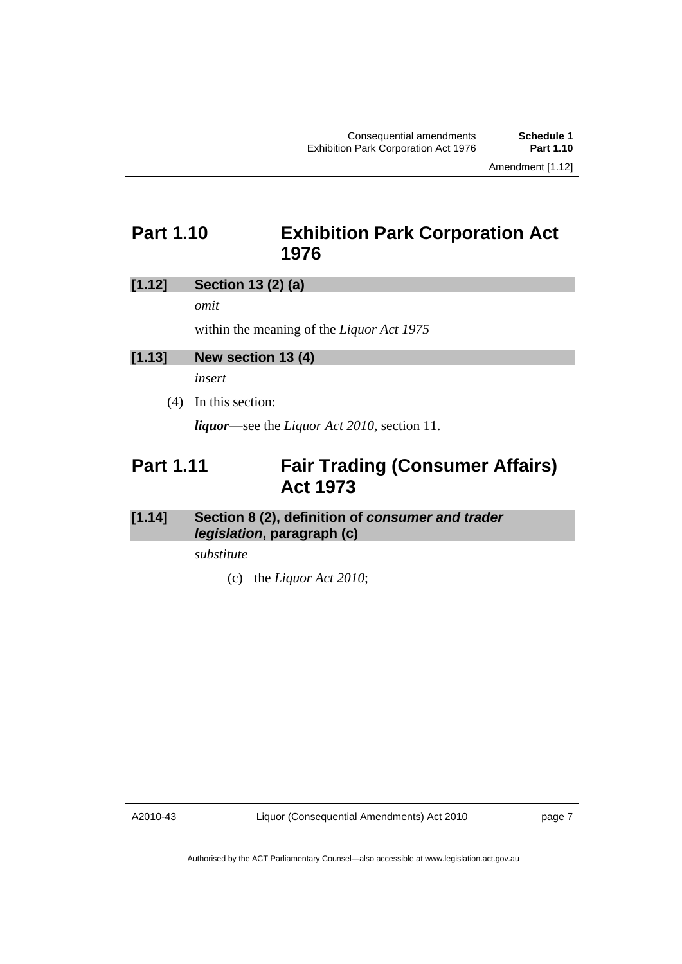Amendment [1.12]

## <span id="page-8-0"></span>**Part 1.10 Exhibition Park Corporation Act 1976**

### **[1.12] Section 13 (2) (a)**

*omit* 

within the meaning of the *Liquor Act 1975* 

## **[1.13] New section 13 (4)**

*insert* 

(4) In this section:

*liquor*—see the *Liquor Act 2010*, section 11.

## **Part 1.11 Fair Trading (Consumer Affairs) Act 1973**

## **[1.14] Section 8 (2), definition of** *consumer and trader legislation***, paragraph (c)**

*substitute* 

(c) the *Liquor Act 2010*;

A2010-43

page 7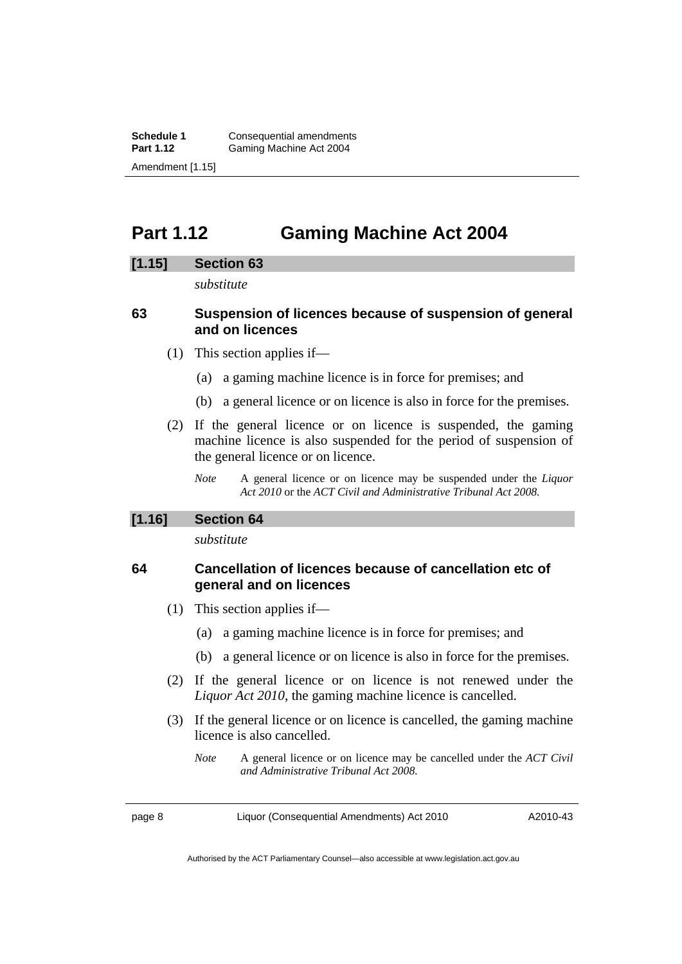<span id="page-9-0"></span>**Schedule 1 Consequential amendments**<br>**Part 1.12 Gaming Machine Act 2004** Gaming Machine Act 2004 Amendment [1.15]

## **Part 1.12 Gaming Machine Act 2004**

#### **[1.15] Section 63**

*substitute* 

### **63 Suspension of licences because of suspension of general and on licences**

- (1) This section applies if—
	- (a) a gaming machine licence is in force for premises; and
	- (b) a general licence or on licence is also in force for the premises.
- (2) If the general licence or on licence is suspended, the gaming machine licence is also suspended for the period of suspension of the general licence or on licence.
	- *Note* A general licence or on licence may be suspended under the *Liquor Act 2010* or the *ACT Civil and Administrative Tribunal Act 2008.*

#### **[1.16] Section 64**

*substitute* 

### **64 Cancellation of licences because of cancellation etc of general and on licences**

- (1) This section applies if—
	- (a) a gaming machine licence is in force for premises; and
	- (b) a general licence or on licence is also in force for the premises.
- (2) If the general licence or on licence is not renewed under the *Liquor Act 2010*, the gaming machine licence is cancelled.
- (3) If the general licence or on licence is cancelled, the gaming machine licence is also cancelled.
	- *Note* A general licence or on licence may be cancelled under the *ACT Civil and Administrative Tribunal Act 2008.*

page 8 Liquor (Consequential Amendments) Act 2010

A2010-43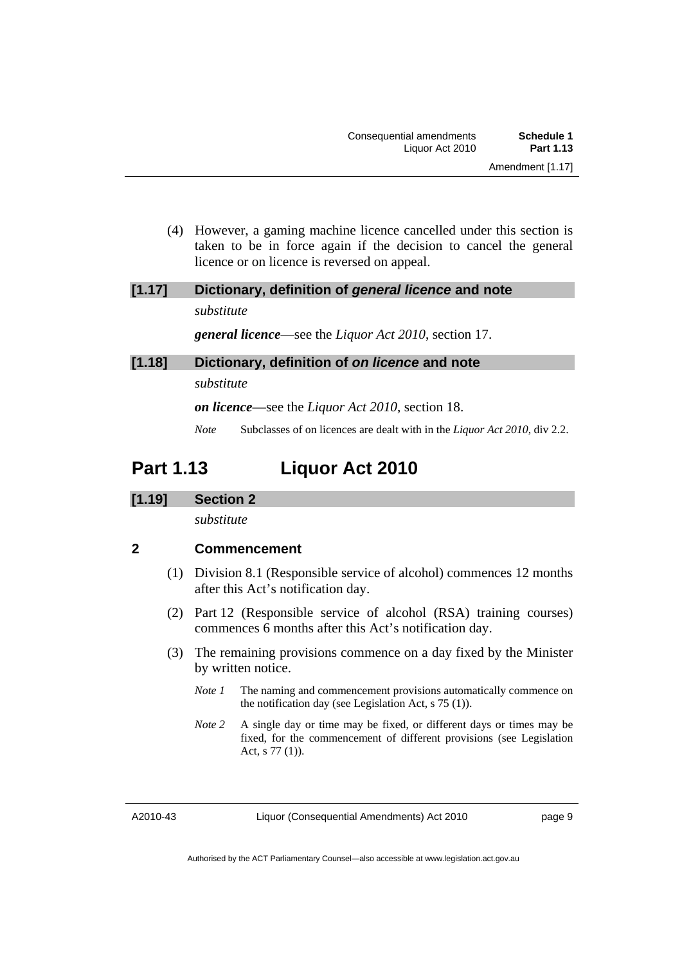<span id="page-10-0"></span> (4) However, a gaming machine licence cancelled under this section is taken to be in force again if the decision to cancel the general licence or on licence is reversed on appeal.

## **[1.17] Dictionary, definition of** *general licence* **and note**  *substitute*

*general licence*—see the *Liquor Act 2010*, section 17.

### **[1.18] Dictionary, definition of** *on licence* **and note**

*substitute* 

*on licence*—see the *Liquor Act 2010*, section 18.

*Note* Subclasses of on licences are dealt with in the *Liquor Act 2010*, div 2.2.

## **Part 1.13 Liquor Act 2010**

### **[1.19] Section 2**

*substitute* 

## **2 Commencement**

- (1) Division 8.1 (Responsible service of alcohol) commences 12 months after this Act's notification day.
- (2) Part 12 (Responsible service of alcohol (RSA) training courses) commences 6 months after this Act's notification day.
- (3) The remaining provisions commence on a day fixed by the Minister by written notice.
	- *Note 1* The naming and commencement provisions automatically commence on the notification day (see Legislation Act, s 75 (1)).
	- *Note 2* A single day or time may be fixed, or different days or times may be fixed, for the commencement of different provisions (see Legislation Act, s 77 (1)).

A2010-43

page 9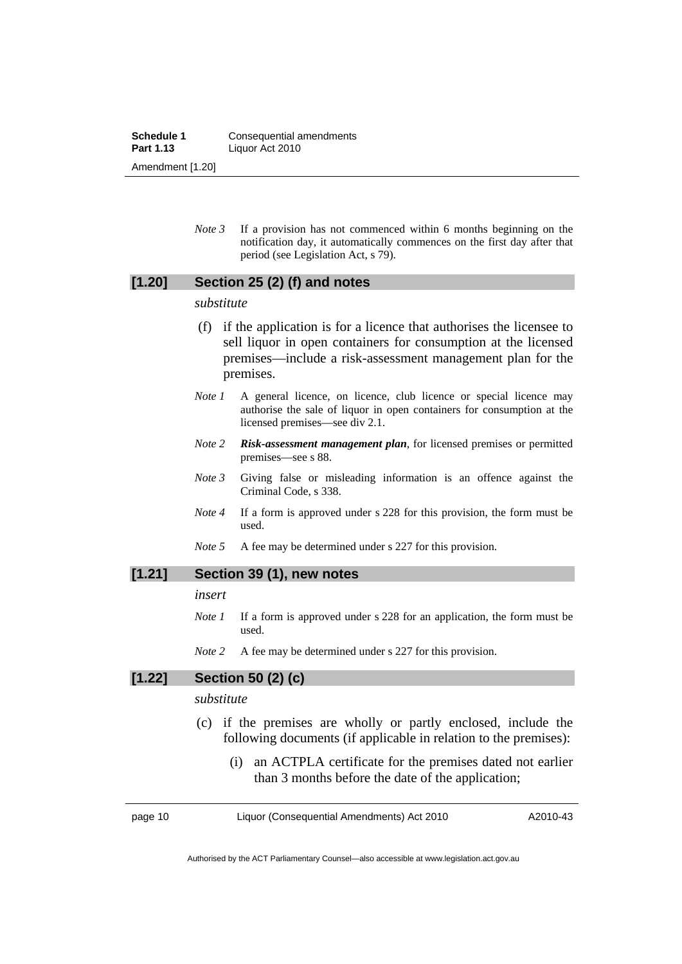**Schedule 1 Consequential amendments**<br>**Part 1.13 Liquor Act 2010 Part 1.13** Liquor Act 2010 Amendment [1.20]

> *Note 3* If a provision has not commenced within 6 months beginning on the notification day, it automatically commences on the first day after that period (see Legislation Act, s 79).

### **[1.20] Section 25 (2) (f) and notes**

#### *substitute*

- (f) if the application is for a licence that authorises the licensee to sell liquor in open containers for consumption at the licensed premises—include a risk-assessment management plan for the premises.
- *Note 1* A general licence, on licence, club licence or special licence may authorise the sale of liquor in open containers for consumption at the licensed premises—see div 2.1.
- *Note 2 Risk-assessment management plan*, for licensed premises or permitted premises—see s 88.
- *Note 3* Giving false or misleading information is an offence against the Criminal Code, s 338.
- *Note 4* If a form is approved under s 228 for this provision, the form must be used.
- *Note* 5 A fee may be determined under s 227 for this provision.

#### **[1.21] Section 39 (1), new notes**

#### *insert*

- *Note 1* If a form is approved under s 228 for an application, the form must be used.
- *Note* 2 A fee may be determined under s 227 for this provision.

#### **[1.22] Section 50 (2) (c)**

#### *substitute*

- (c) if the premises are wholly or partly enclosed, include the following documents (if applicable in relation to the premises):
	- (i) an ACTPLA certificate for the premises dated not earlier than 3 months before the date of the application;

page 10 Liquor (Consequential Amendments) Act 2010

A2010-43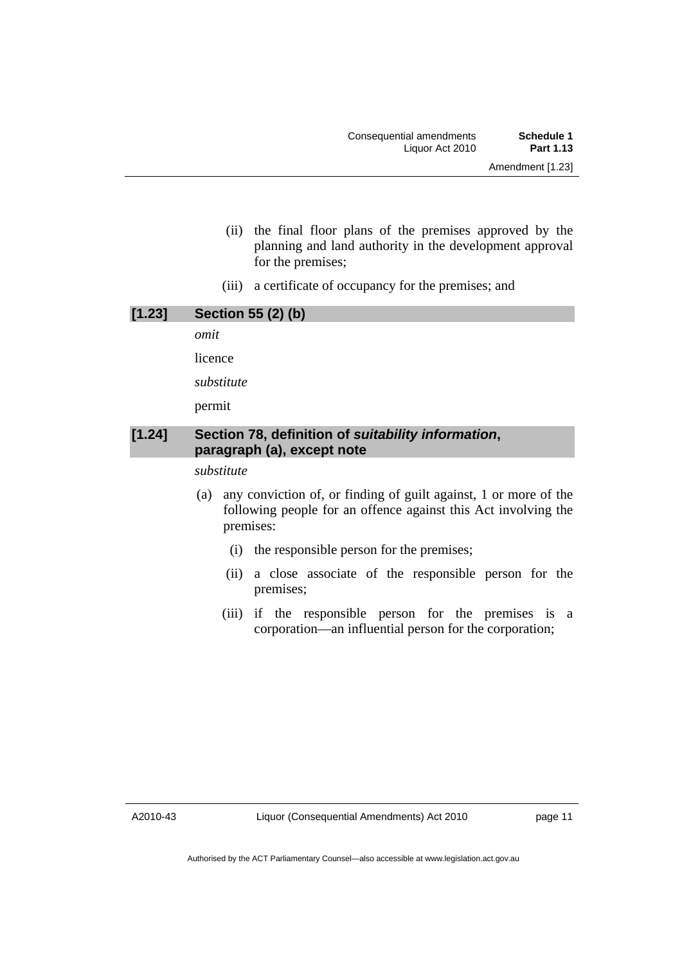- (ii) the final floor plans of the premises approved by the planning and land authority in the development approval for the premises;
- (iii) a certificate of occupancy for the premises; and

| [1.23] | <b>Section 55 (2) (b)</b>                                                                                                                 |
|--------|-------------------------------------------------------------------------------------------------------------------------------------------|
|        | omit                                                                                                                                      |
|        | licence                                                                                                                                   |
|        | substitute                                                                                                                                |
|        | permit                                                                                                                                    |
| [1.24] | Section 78, definition of suitability information,<br>paragraph (a), except note                                                          |
|        | substitute                                                                                                                                |
|        | any conviction of, or finding of guilt against, 1 or more of the<br>(a)<br>following people for an offence equipst this Act involving the |

- following people for an offence against this Act involving the premises:
	- (i) the responsible person for the premises;
	- (ii) a close associate of the responsible person for the premises;
	- (iii) if the responsible person for the premises is a corporation—an influential person for the corporation;

page 11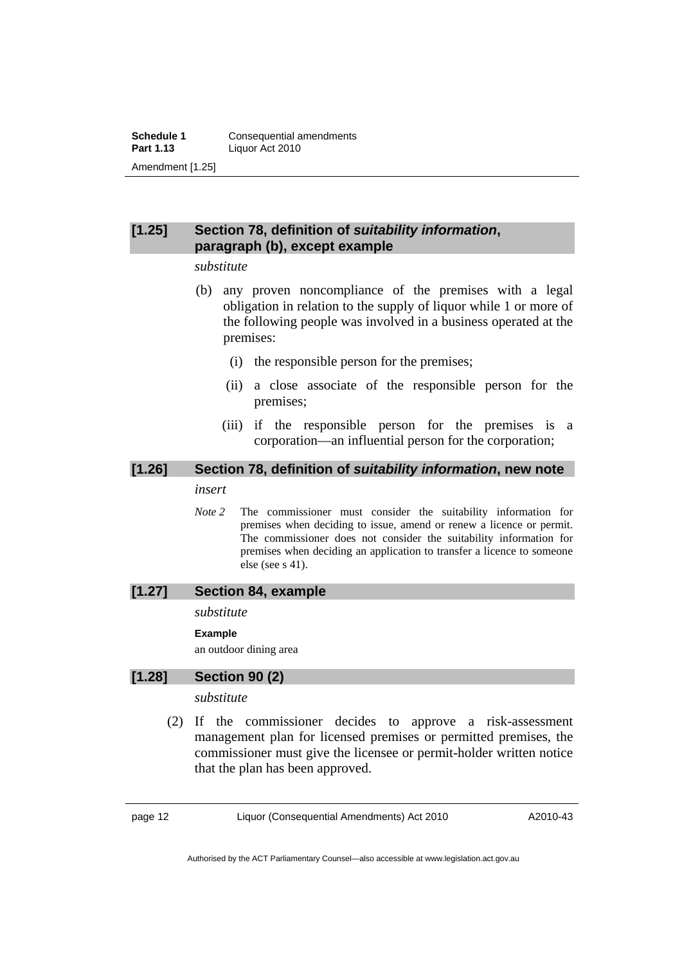### **[1.25] Section 78, definition of** *suitability information***, paragraph (b), except example**

#### *substitute*

- (b) any proven noncompliance of the premises with a legal obligation in relation to the supply of liquor while 1 or more of the following people was involved in a business operated at the premises:
	- (i) the responsible person for the premises;
	- (ii) a close associate of the responsible person for the premises;
	- (iii) if the responsible person for the premises is a corporation—an influential person for the corporation;

## **[1.26] Section 78, definition of** *suitability information***, new note**

#### *insert*

*Note 2* The commissioner must consider the suitability information for premises when deciding to issue, amend or renew a licence or permit. The commissioner does not consider the suitability information for premises when deciding an application to transfer a licence to someone else (see s 41).

#### **[1.27] Section 84, example**

#### *substitute*

#### **Example**

an outdoor dining area

### **[1.28] Section 90 (2)**

#### *substitute*

 (2) If the commissioner decides to approve a risk-assessment management plan for licensed premises or permitted premises, the commissioner must give the licensee or permit-holder written notice that the plan has been approved.

page 12 Liquor (Consequential Amendments) Act 2010

A2010-43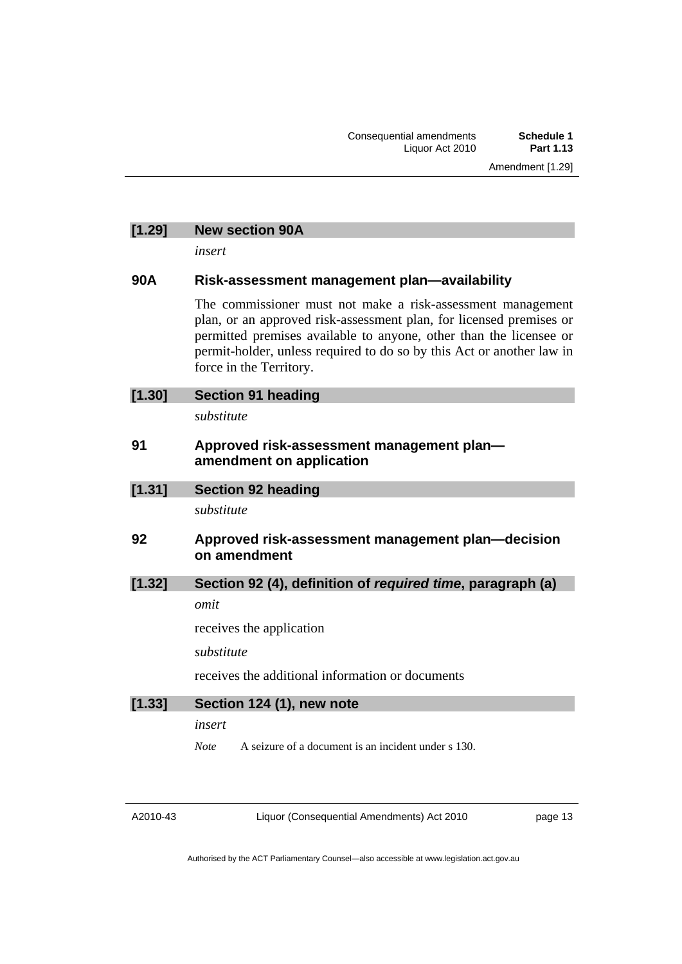Amendment [1.29]

### **[1.29] New section 90A**

*insert* 

#### **90A Risk-assessment management plan—availability**

The commissioner must not make a risk-assessment management plan, or an approved risk-assessment plan, for licensed premises or permitted premises available to anyone, other than the licensee or permit-holder, unless required to do so by this Act or another law in force in the Territory.

| [1.30] | <b>Section 91 heading</b>                                             |
|--------|-----------------------------------------------------------------------|
|        | substitute                                                            |
| 91     | Approved risk-assessment management plan-<br>amendment on application |
| [1.31] | <b>Section 92 heading</b>                                             |
|        | substitute                                                            |
| 92     | Approved risk-assessment management plan—decision<br>on amendment     |
| [1.32] | Section 92 (4), definition of required time, paragraph (a)            |
|        | omit                                                                  |
|        | receives the application                                              |
|        | substitute                                                            |
|        | receives the additional information or documents                      |
| [1.33] | Section 124 (1), new note                                             |

*insert* 

*Note* A seizure of a document is an incident under s 130.

A2010-43

Liquor (Consequential Amendments) Act 2010

page 13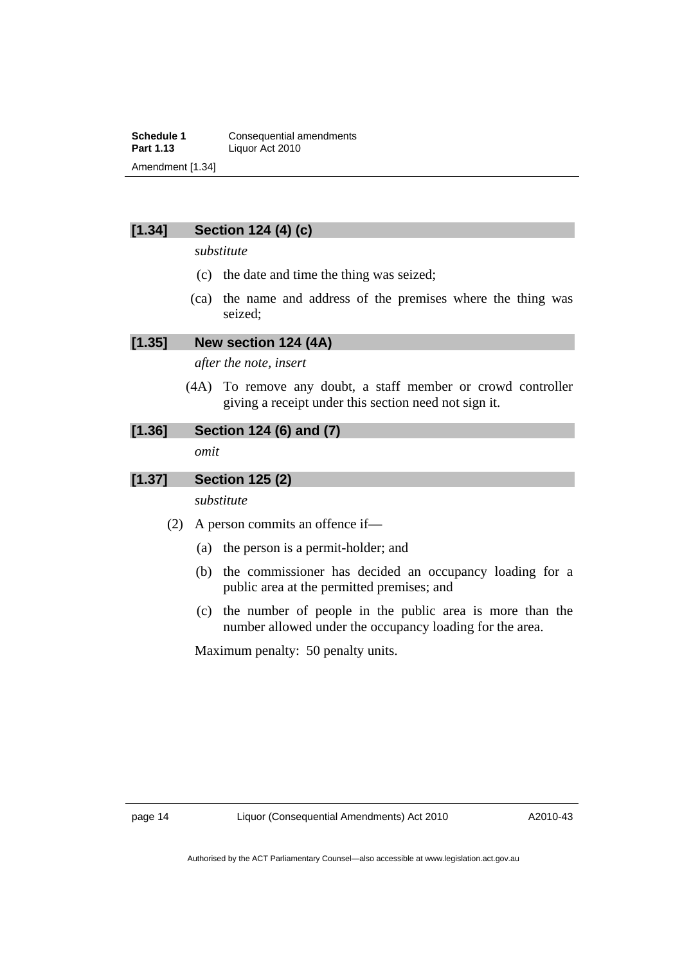**Schedule 1 Consequential amendments**<br>**Part 1.13 Liguor Act 2010 Part 1.13** Liquor Act 2010 Amendment [1.34]

## **[1.34] Section 124 (4) (c)**

*substitute* 

- (c) the date and time the thing was seized;
- (ca) the name and address of the premises where the thing was seized;

#### **[1.35] New section 124 (4A)**

*after the note, insert* 

 (4A) To remove any doubt, a staff member or crowd controller giving a receipt under this section need not sign it.

### **[1.36] Section 124 (6) and (7)**

*omit* 

### **[1.37] Section 125 (2)**

*substitute* 

- (2) A person commits an offence if—
	- (a) the person is a permit-holder; and
	- (b) the commissioner has decided an occupancy loading for a public area at the permitted premises; and
	- (c) the number of people in the public area is more than the number allowed under the occupancy loading for the area.

Maximum penalty: 50 penalty units.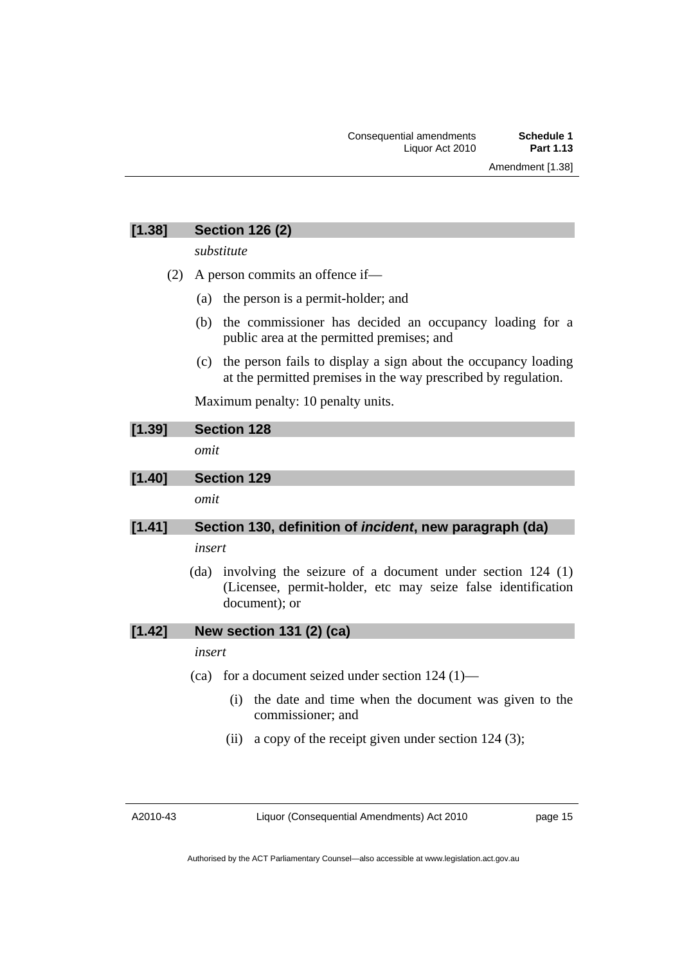### **[1.38] Section 126 (2)**

*substitute* 

- (2) A person commits an offence if—
	- (a) the person is a permit-holder; and
	- (b) the commissioner has decided an occupancy loading for a public area at the permitted premises; and
	- (c) the person fails to display a sign about the occupancy loading at the permitted premises in the way prescribed by regulation.

Maximum penalty: 10 penalty units.

| [1.39]        | <b>Section 128</b>                                                                                                                                                                      |
|---------------|-----------------------------------------------------------------------------------------------------------------------------------------------------------------------------------------|
|               | omit                                                                                                                                                                                    |
| [1.40]        | <b>Section 129</b>                                                                                                                                                                      |
|               | omit                                                                                                                                                                                    |
| <b>PA 445</b> | $\mathbf{0}$ and an $\mathbf{1} \mathbf{0}$ and $\mathbf{1} \mathbf{0}$ and $\mathbf{1} \mathbf{0}$ and $\mathbf{1} \mathbf{0}$ and $\mathbf{1} \mathbf{0}$ and $\mathbf{1} \mathbf{0}$ |

## **[1.41] Section 130, definition of** *incident***, new paragraph (da)**

#### *insert*

 (da) involving the seizure of a document under section 124 (1) (Licensee, permit-holder, etc may seize false identification document); or

**[1.42] New section 131 (2) (ca)** 

*insert* 

- (ca) for a document seized under section 124 (1)—
	- (i) the date and time when the document was given to the commissioner; and
	- (ii) a copy of the receipt given under section  $124$  (3);

A2010-43

Liquor (Consequential Amendments) Act 2010

page 15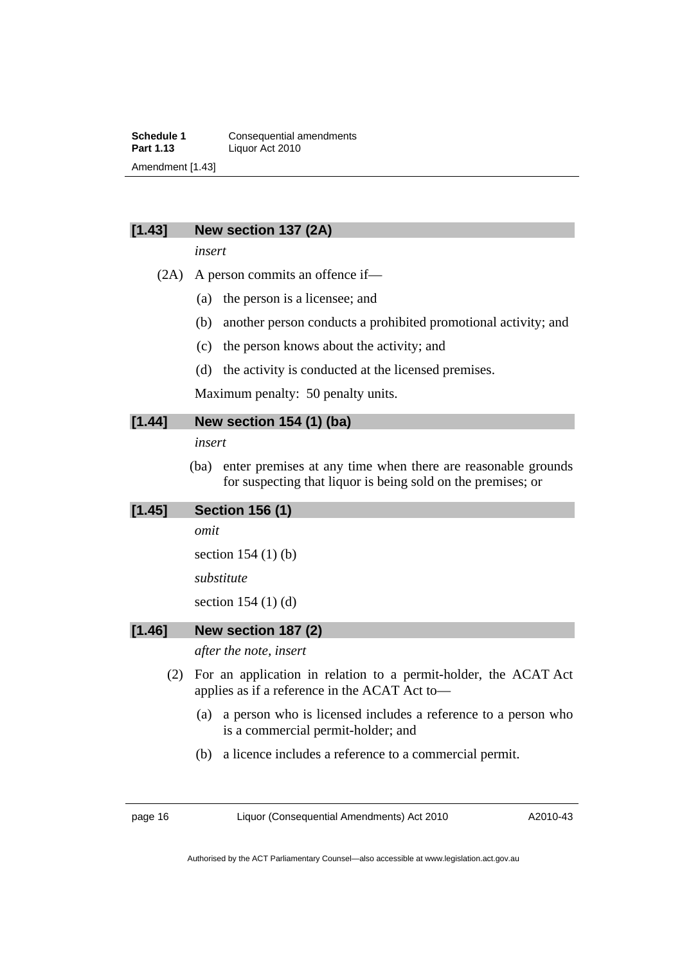**Schedule 1 Consequential amendments**<br>**Part 1.13 Liguor Act 2010 Part 1.13** Liquor Act 2010 Amendment [1.43]

#### **[1.43] New section 137 (2A)**

*insert* 

- (2A) A person commits an offence if—
	- (a) the person is a licensee; and
	- (b) another person conducts a prohibited promotional activity; and
	- (c) the person knows about the activity; and
	- (d) the activity is conducted at the licensed premises.

Maximum penalty: 50 penalty units.

### **[1.44] New section 154 (1) (ba)**

*insert* 

 (ba) enter premises at any time when there are reasonable grounds for suspecting that liquor is being sold on the premises; or

#### **[1.45] Section 156 (1)**

*omit* 

section 154 (1) (b)

*substitute* 

section 154 (1) (d)

#### **[1.46] New section 187 (2)**

*after the note, insert* 

- (2) For an application in relation to a permit-holder, the ACAT Act applies as if a reference in the ACAT Act to—
	- (a) a person who is licensed includes a reference to a person who is a commercial permit-holder; and
	- (b) a licence includes a reference to a commercial permit.

page 16 Liquor (Consequential Amendments) Act 2010

A2010-43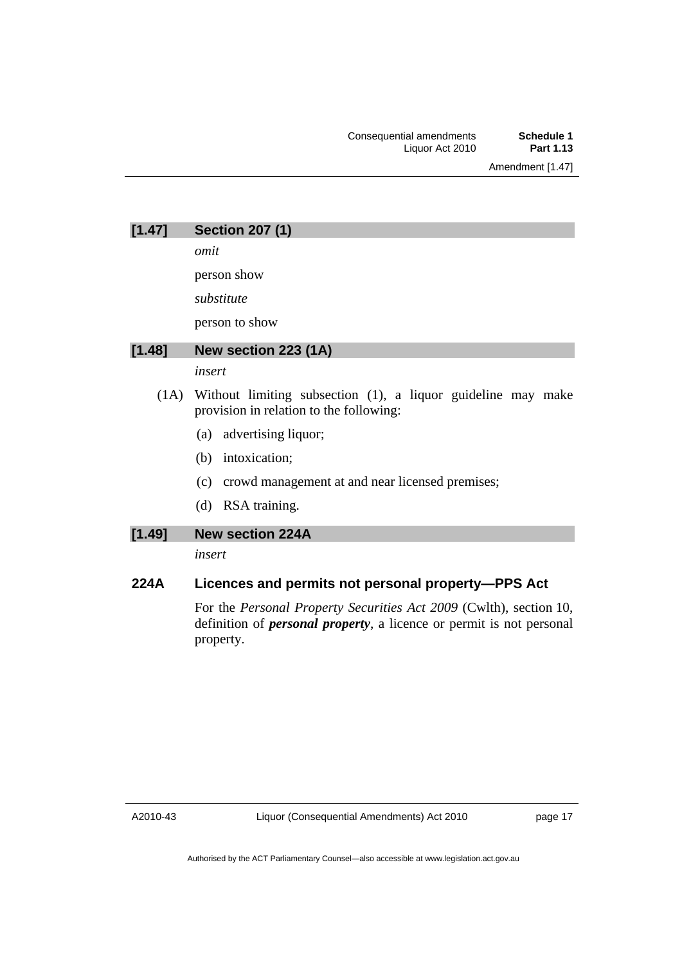Amendment [1.47]

*omit* 

person show

*substitute* 

person to show

### **[1.48] New section 223 (1A)**

## *insert*

- (1A) Without limiting subsection (1), a liquor guideline may make provision in relation to the following:
	- (a) advertising liquor;
	- (b) intoxication;
	- (c) crowd management at and near licensed premises;
	- (d) RSA training.

### **[1.49] New section 224A**

*insert* 

## **224A Licences and permits not personal property—PPS Act**

For the *Personal Property Securities Act 2009* (Cwlth), section 10, definition of *personal property*, a licence or permit is not personal property.

page 17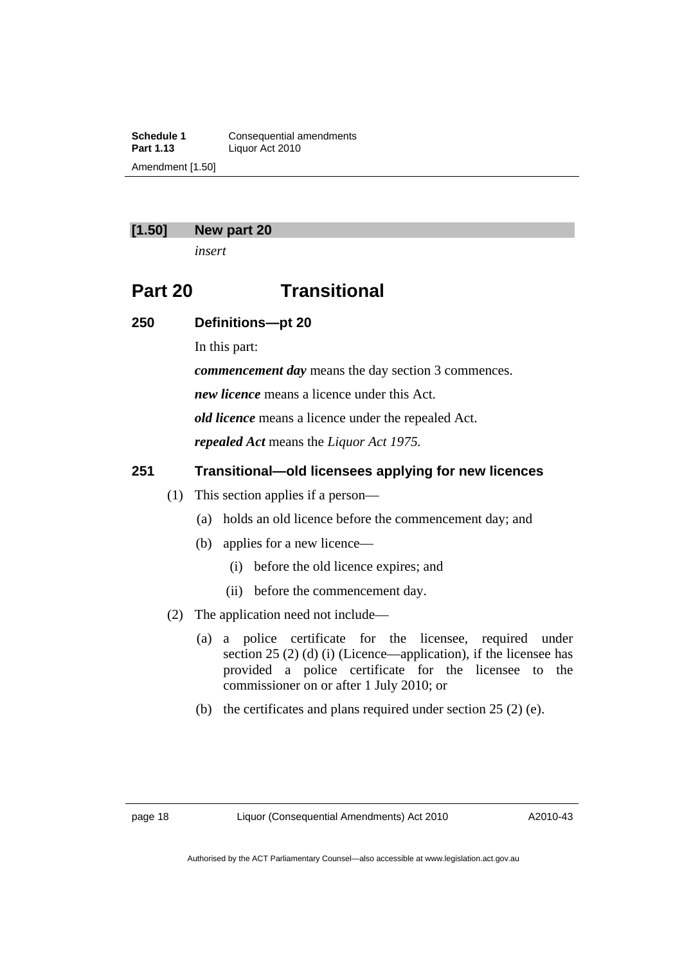**Schedule 1 Consequential amendments**<br>**Part 1.13 Liguor Act 2010 Part 1.13** Liquor Act 2010 Amendment [1.50]

#### **[1.50] New part 20**

*insert* 

## **Part 20 Transitional**

#### **250 Definitions—pt 20**

In this part:

*commencement day* means the day section 3 commences.

*new licence* means a licence under this Act.

*old licence* means a licence under the repealed Act.

*repealed Act* means the *Liquor Act 1975.*

### **251 Transitional—old licensees applying for new licences**

- (1) This section applies if a person—
	- (a) holds an old licence before the commencement day; and
	- (b) applies for a new licence—
		- (i) before the old licence expires; and
		- (ii) before the commencement day.
- (2) The application need not include—
	- (a) a police certificate for the licensee, required under section 25 (2) (d) (i) (Licence—application), if the licensee has provided a police certificate for the licensee to the commissioner on or after 1 July 2010; or
	- (b) the certificates and plans required under section 25 (2) (e).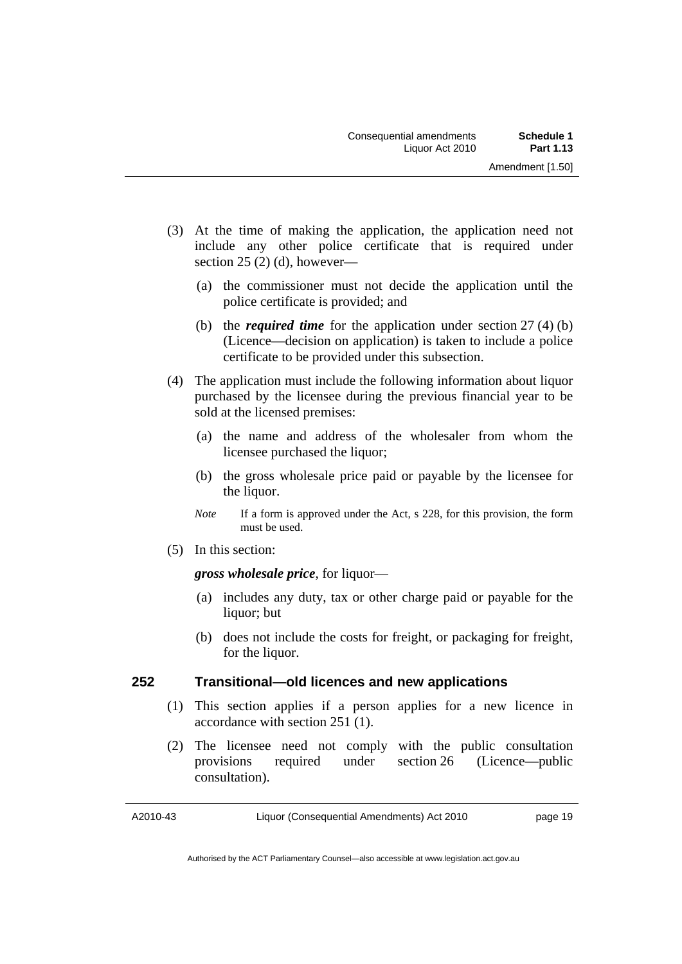- (3) At the time of making the application, the application need not include any other police certificate that is required under section  $25(2)(d)$ , however—
	- (a) the commissioner must not decide the application until the police certificate is provided; and
	- (b) the *required time* for the application under section 27 (4) (b) (Licence—decision on application) is taken to include a police certificate to be provided under this subsection.
- (4) The application must include the following information about liquor purchased by the licensee during the previous financial year to be sold at the licensed premises:
	- (a) the name and address of the wholesaler from whom the licensee purchased the liquor;
	- (b) the gross wholesale price paid or payable by the licensee for the liquor.
	- *Note* If a form is approved under the Act, s 228, for this provision, the form must be used.
- (5) In this section:

### *gross wholesale price*, for liquor—

- (a) includes any duty, tax or other charge paid or payable for the liquor; but
- (b) does not include the costs for freight, or packaging for freight, for the liquor.

### **252 Transitional—old licences and new applications**

- (1) This section applies if a person applies for a new licence in accordance with section 251 (1).
- (2) The licensee need not comply with the public consultation provisions required under section 26 (Licence—public consultation).

A2010-43

page 19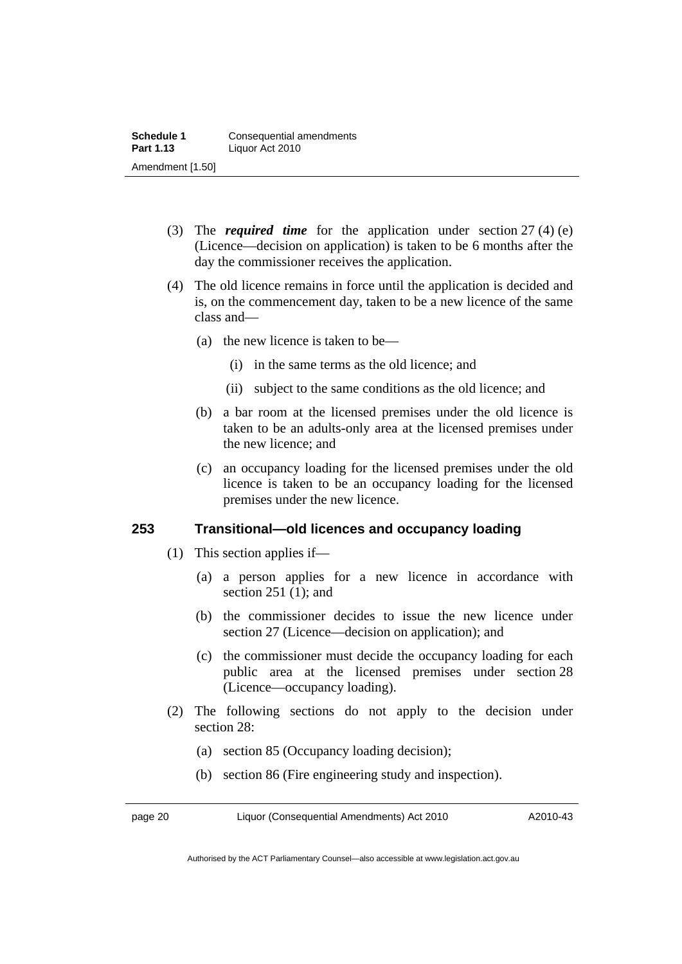- (3) The *required time* for the application under section 27 (4) (e) (Licence—decision on application) is taken to be 6 months after the day the commissioner receives the application.
- (4) The old licence remains in force until the application is decided and is, on the commencement day, taken to be a new licence of the same class and—
	- (a) the new licence is taken to be—
		- (i) in the same terms as the old licence; and
		- (ii) subject to the same conditions as the old licence; and
	- (b) a bar room at the licensed premises under the old licence is taken to be an adults-only area at the licensed premises under the new licence; and
	- (c) an occupancy loading for the licensed premises under the old licence is taken to be an occupancy loading for the licensed premises under the new licence.

### **253 Transitional—old licences and occupancy loading**

- (1) This section applies if—
	- (a) a person applies for a new licence in accordance with section 251 (1); and
	- (b) the commissioner decides to issue the new licence under section 27 (Licence—decision on application); and
	- (c) the commissioner must decide the occupancy loading for each public area at the licensed premises under section 28 (Licence—occupancy loading).
- (2) The following sections do not apply to the decision under section 28:
	- (a) section 85 (Occupancy loading decision);
	- (b) section 86 (Fire engineering study and inspection).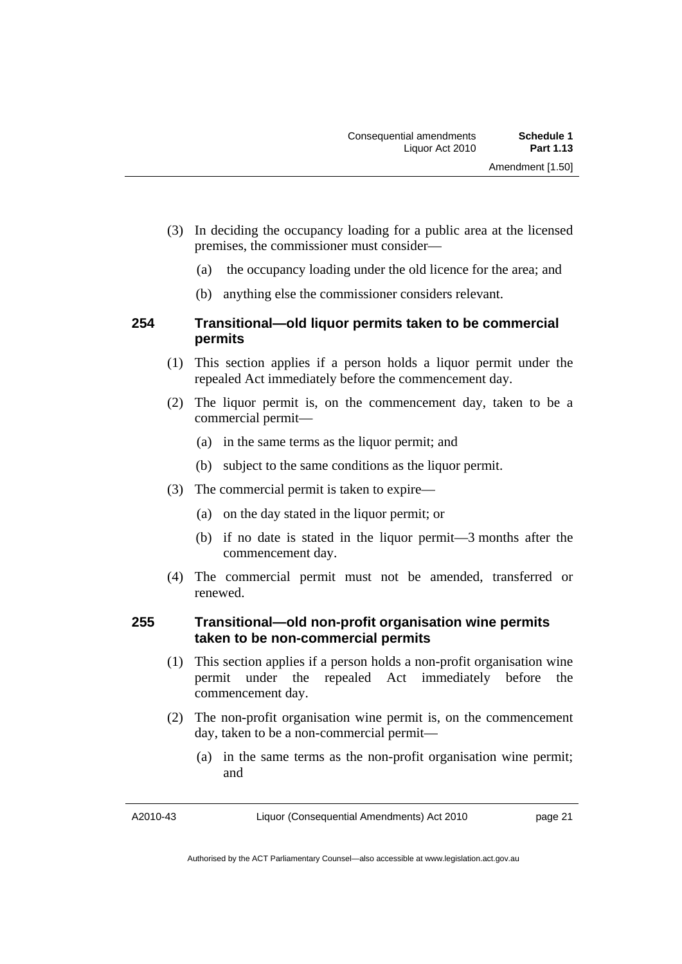- (3) In deciding the occupancy loading for a public area at the licensed premises, the commissioner must consider—
	- (a) the occupancy loading under the old licence for the area; and
	- (b) anything else the commissioner considers relevant.

### **254 Transitional—old liquor permits taken to be commercial permits**

- (1) This section applies if a person holds a liquor permit under the repealed Act immediately before the commencement day.
- (2) The liquor permit is, on the commencement day, taken to be a commercial permit—
	- (a) in the same terms as the liquor permit; and
	- (b) subject to the same conditions as the liquor permit.
- (3) The commercial permit is taken to expire—
	- (a) on the day stated in the liquor permit; or
	- (b) if no date is stated in the liquor permit—3 months after the commencement day.
- (4) The commercial permit must not be amended, transferred or renewed.

### **255 Transitional—old non-profit organisation wine permits taken to be non-commercial permits**

- (1) This section applies if a person holds a non-profit organisation wine permit under the repealed Act immediately before the commencement day.
- (2) The non-profit organisation wine permit is, on the commencement day, taken to be a non-commercial permit—
	- (a) in the same terms as the non-profit organisation wine permit; and

A2010-43

page 21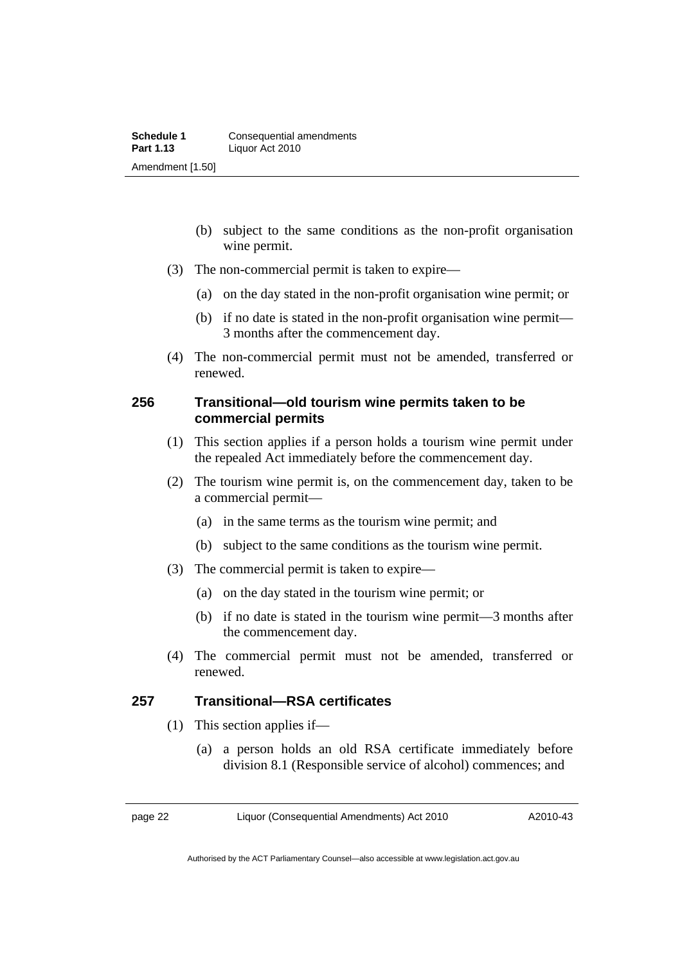- (b) subject to the same conditions as the non-profit organisation wine permit.
- (3) The non-commercial permit is taken to expire—
	- (a) on the day stated in the non-profit organisation wine permit; or
	- (b) if no date is stated in the non-profit organisation wine permit— 3 months after the commencement day.
- (4) The non-commercial permit must not be amended, transferred or renewed.

### **256 Transitional—old tourism wine permits taken to be commercial permits**

- (1) This section applies if a person holds a tourism wine permit under the repealed Act immediately before the commencement day.
- (2) The tourism wine permit is, on the commencement day, taken to be a commercial permit—
	- (a) in the same terms as the tourism wine permit; and
	- (b) subject to the same conditions as the tourism wine permit.
- (3) The commercial permit is taken to expire—
	- (a) on the day stated in the tourism wine permit; or
	- (b) if no date is stated in the tourism wine permit—3 months after the commencement day.
- (4) The commercial permit must not be amended, transferred or renewed.

### **257 Transitional—RSA certificates**

- (1) This section applies if—
	- (a) a person holds an old RSA certificate immediately before division 8.1 (Responsible service of alcohol) commences; and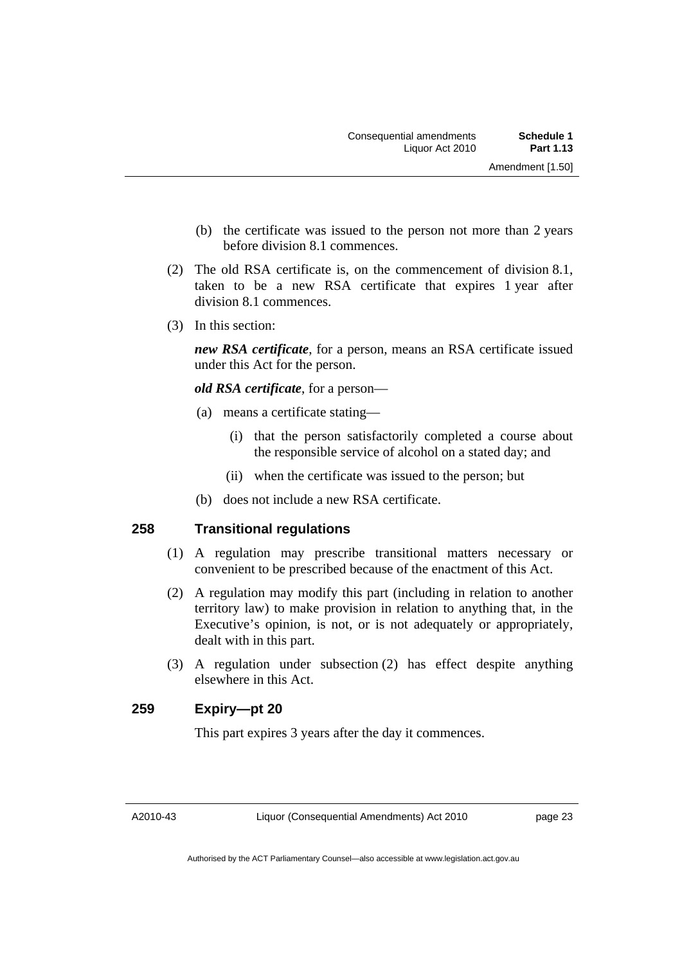- (b) the certificate was issued to the person not more than 2 years before division 8.1 commences.
- (2) The old RSA certificate is, on the commencement of division 8.1, taken to be a new RSA certificate that expires 1 year after division 8.1 commences.
- (3) In this section:

*new RSA certificate*, for a person, means an RSA certificate issued under this Act for the person.

*old RSA certificate*, for a person—

- (a) means a certificate stating—
	- (i) that the person satisfactorily completed a course about the responsible service of alcohol on a stated day; and
	- (ii) when the certificate was issued to the person; but
- (b) does not include a new RSA certificate.

### **258 Transitional regulations**

- (1) A regulation may prescribe transitional matters necessary or convenient to be prescribed because of the enactment of this Act.
- (2) A regulation may modify this part (including in relation to another territory law) to make provision in relation to anything that, in the Executive's opinion, is not, or is not adequately or appropriately, dealt with in this part.
- (3) A regulation under subsection (2) has effect despite anything elsewhere in this Act.

### **259 Expiry—pt 20**

This part expires 3 years after the day it commences.

A2010-43

page 23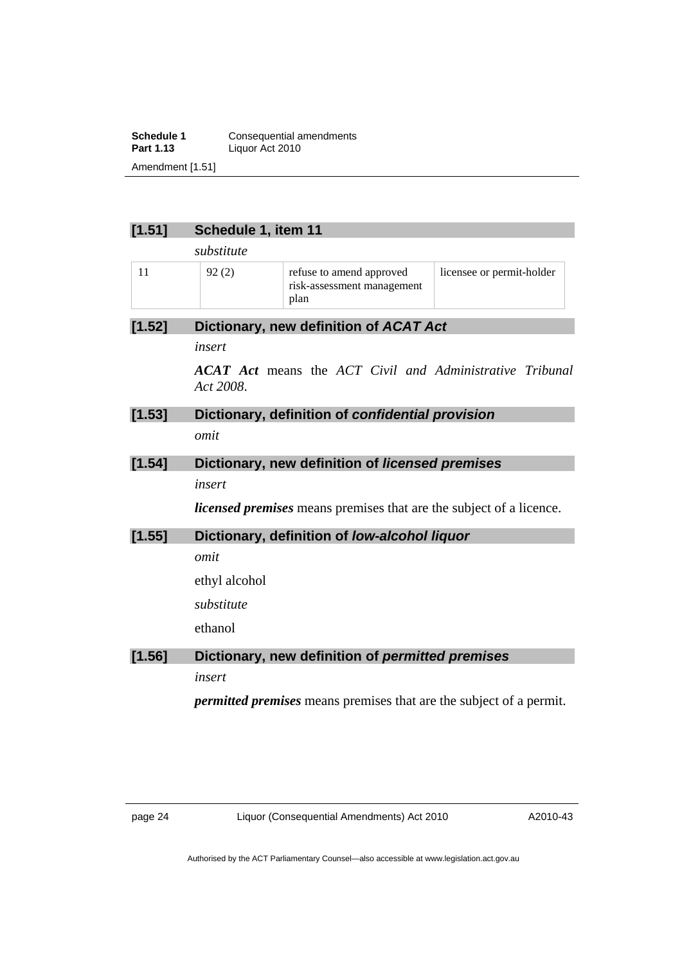**Schedule 1 Consequential amendments**<br>**Part 1.13 Liquor Act 2010 Part 1.13** Liquor Act 2010 Amendment [1.51]

### **[1.51] Schedule 1, item 11**

*substitute* 

| 92(2) | refuse to amend approved<br>risk-assessment management | licensee or permit-holder |
|-------|--------------------------------------------------------|---------------------------|
|       | plan                                                   |                           |

#### **[1.52] Dictionary, new definition of** *ACAT Act*

*insert* 

*ACAT Act* means the *ACT Civil and Administrative Tribunal Act 2008*.

### **[1.53] Dictionary, definition of** *confidential provision omit*

## **[1.54] Dictionary, new definition of** *licensed premises*

*insert* 

*licensed premises* means premises that are the subject of a licence.

## **[1.55] Dictionary, definition of** *low-alcohol liquor omit*  ethyl alcohol *substitute*  ethanol **[1.56] Dictionary, new definition of** *permitted premises insert*

*permitted premises* means premises that are the subject of a permit.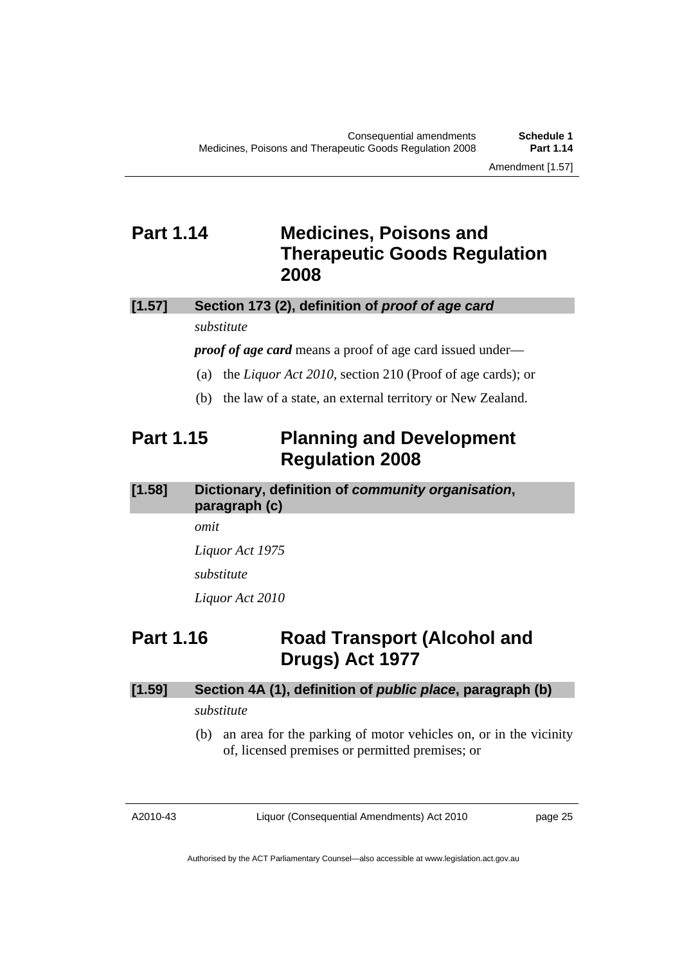## <span id="page-26-0"></span>**Part 1.14 Medicines, Poisons and Therapeutic Goods Regulation 2008**

### **[1.57] Section 173 (2), definition of** *proof of age card*

#### *substitute*

*proof of age card* means a proof of age card issued under—

- (a) the *Liquor Act 2010*, section 210 (Proof of age cards); or
- (b) the law of a state, an external territory or New Zealand.

## **Part 1.15 Planning and Development Regulation 2008**

**[1.58] Dictionary, definition of** *community organisation***, paragraph (c)** 

*omit* 

*Liquor Act 1975* 

*substitute* 

*Liquor Act 2010* 

## **Part 1.16 Road Transport (Alcohol and Drugs) Act 1977**

# **[1.59] Section 4A (1), definition of** *public place***, paragraph (b)**

## *substitute*

 (b) an area for the parking of motor vehicles on, or in the vicinity of, licensed premises or permitted premises; or

A2010-43

Liquor (Consequential Amendments) Act 2010

page 25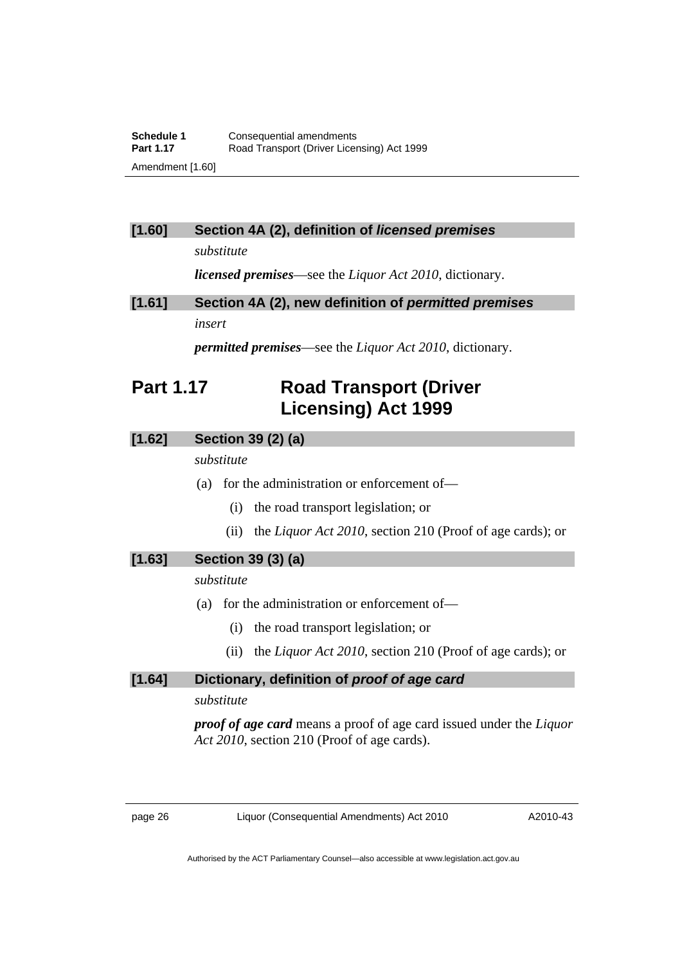## <span id="page-27-0"></span>**[1.60] Section 4A (2), definition of** *licensed premises*

*substitute* 

*licensed premises*—see the *Liquor Act 2010*, dictionary.

**[1.61] Section 4A (2), new definition of** *permitted premises insert* 

*permitted premises*—see the *Liquor Act 2010*, dictionary.

## **Part 1.17 Road Transport (Driver Licensing) Act 1999**

## **[1.62] Section 39 (2) (a)**

*substitute* 

- (a) for the administration or enforcement of—
	- (i) the road transport legislation; or
	- (ii) the *Liquor Act 2010*, section 210 (Proof of age cards); or

## **[1.63] Section 39 (3) (a)**

*substitute* 

- (a) for the administration or enforcement of—
	- (i) the road transport legislation; or
	- (ii) the *Liquor Act 2010*, section 210 (Proof of age cards); or

### **[1.64] Dictionary, definition of** *proof of age card*

*substitute* 

*proof of age card* means a proof of age card issued under the *Liquor Act 2010*, section 210 (Proof of age cards).

A2010-43

Authorised by the ACT Parliamentary Counsel—also accessible at www.legislation.act.gov.au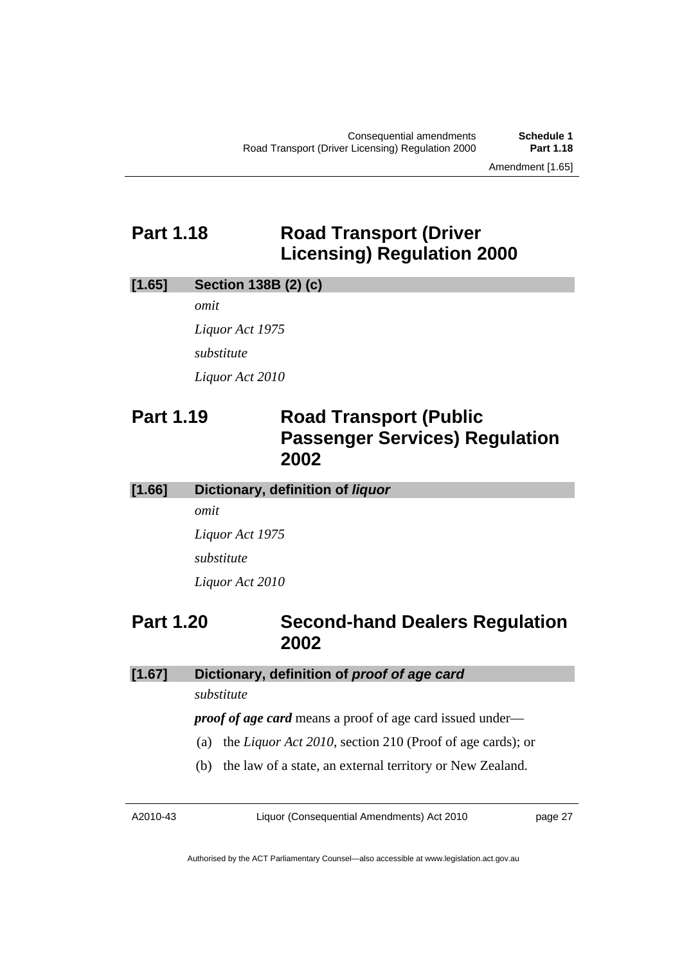## <span id="page-28-0"></span>**Part 1.18 Road Transport (Driver Licensing) Regulation 2000**

#### **[1.65] Section 138B (2) (c)**

*omit* 

*Liquor Act 1975 substitute Liquor Act 2010* 

## **Part 1.19 Road Transport (Public Passenger Services) Regulation 2002**

**[1.66] Dictionary, definition of** *liquor*

*omit* 

*Liquor Act 1975 substitute Liquor Act 2010* 

## **Part 1.20 Second-hand Dealers Regulation 2002**

### **[1.67] Dictionary, definition of** *proof of age card*

*substitute* 

*proof of age card* means a proof of age card issued under—

- (a) the *Liquor Act 2010*, section 210 (Proof of age cards); or
- (b) the law of a state, an external territory or New Zealand.

A2010-43

Liquor (Consequential Amendments) Act 2010

page 27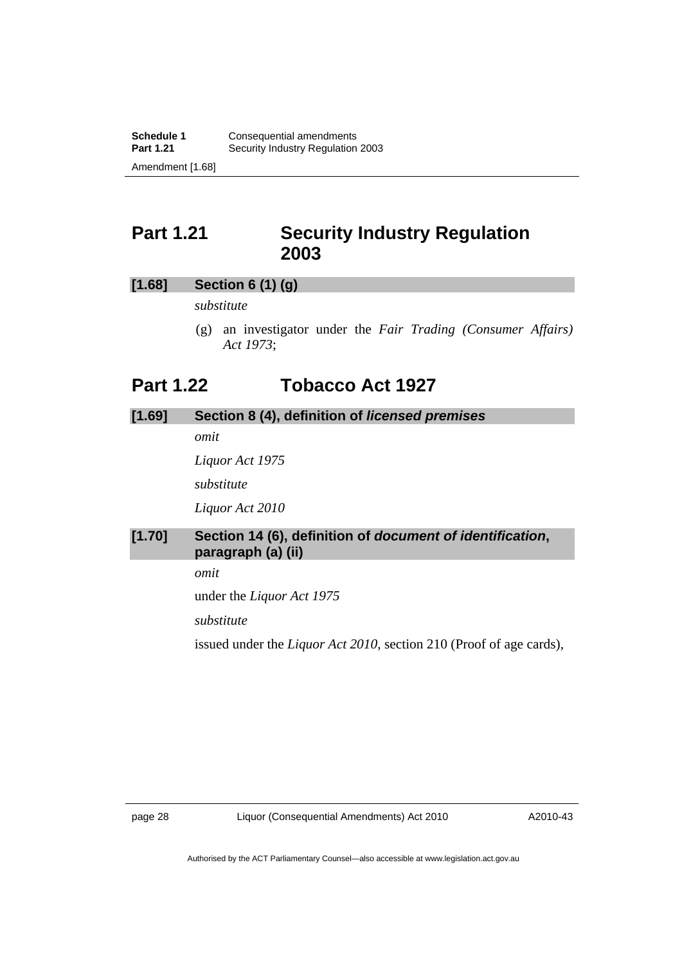## <span id="page-29-0"></span>**Part 1.21 Security Industry Regulation 2003**

### **[1.68] Section 6 (1) (g)**

*substitute* 

 (g) an investigator under the *Fair Trading (Consumer Affairs) Act 1973*;

## **Part 1.22 Tobacco Act 1927**

## **[1.69] Section 8 (4), definition of** *licensed premises omit*

*Liquor Act 1975 substitute Liquor Act 2010* 

## **[1.70] Section 14 (6), definition of** *document of identification***, paragraph (a) (ii)**

*omit* 

under the *Liquor Act 1975* 

*substitute* 

issued under the *Liquor Act 2010*, section 210 (Proof of age cards),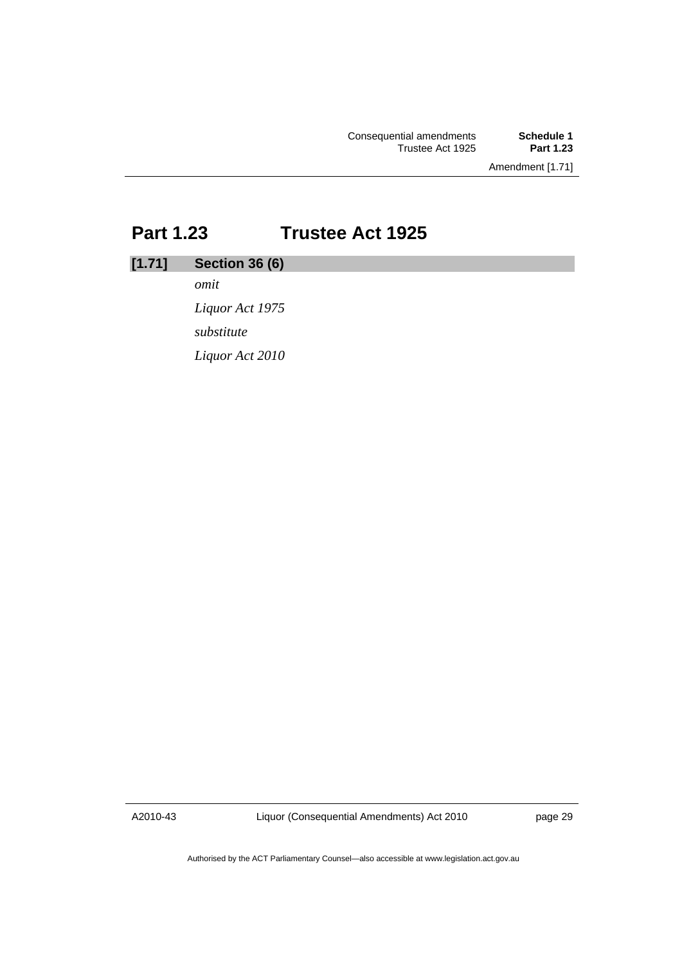Amendment [1.71]

## <span id="page-30-0"></span>**Part 1.23 Trustee Act 1925**

## **[1.71] Section 36 (6)**

*omit* 

*Liquor Act 1975 substitute Liquor Act 2010* 

A2010-43

Liquor (Consequential Amendments) Act 2010

page 29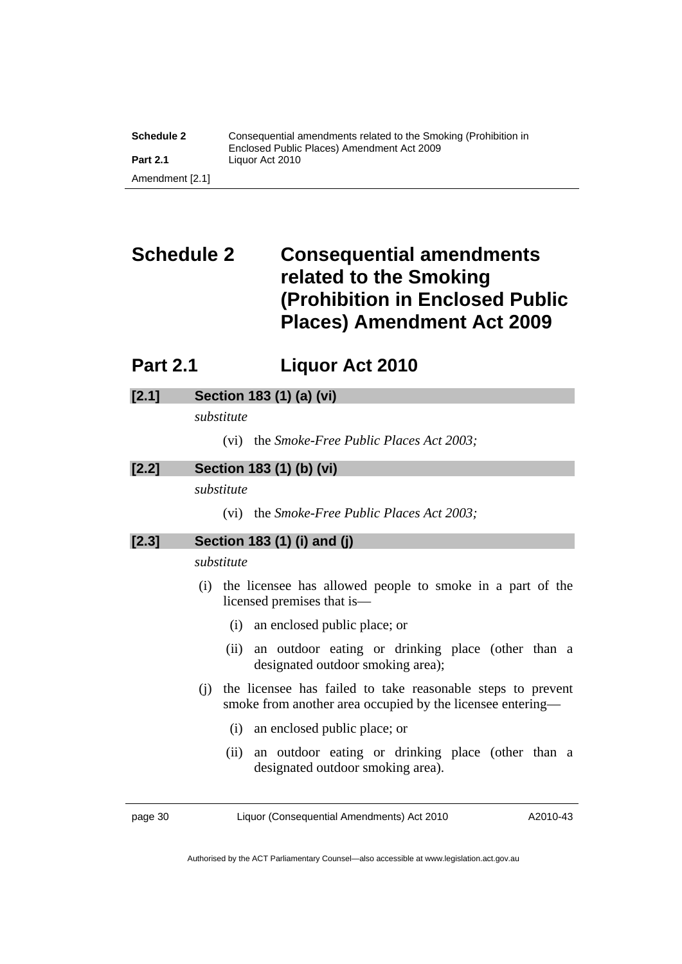<span id="page-31-0"></span>

| <b>Schedule 2</b> | Consequential amendments related to the Smoking (Prohibition in<br>Enclosed Public Places) Amendment Act 2009 |
|-------------------|---------------------------------------------------------------------------------------------------------------|
| <b>Part 2.1</b>   | Liquor Act 2010                                                                                               |
| Amendment [2.1]   |                                                                                                               |

## **Schedule 2 Consequential amendments related to the Smoking (Prohibition in Enclosed Public Places) Amendment Act 2009**

## **Part 2.1 Liquor Act 2010**

## **[2.1] Section 183 (1) (a) (vi)**

*substitute* 

(vi) the *Smoke-Free Public Places Act 2003;* 

## **[2.2] Section 183 (1) (b) (vi)**

*substitute* 

(vi) the *Smoke-Free Public Places Act 2003;* 

**[2.3] Section 183 (1) (i) and (j)** 

*substitute* 

- (i) the licensee has allowed people to smoke in a part of the licensed premises that is—
	- (i) an enclosed public place; or
	- (ii) an outdoor eating or drinking place (other than a designated outdoor smoking area);
- (j) the licensee has failed to take reasonable steps to prevent smoke from another area occupied by the licensee entering—
	- (i) an enclosed public place; or
	- (ii) an outdoor eating or drinking place (other than a designated outdoor smoking area).

page 30 Liquor (Consequential Amendments) Act 2010

A2010-43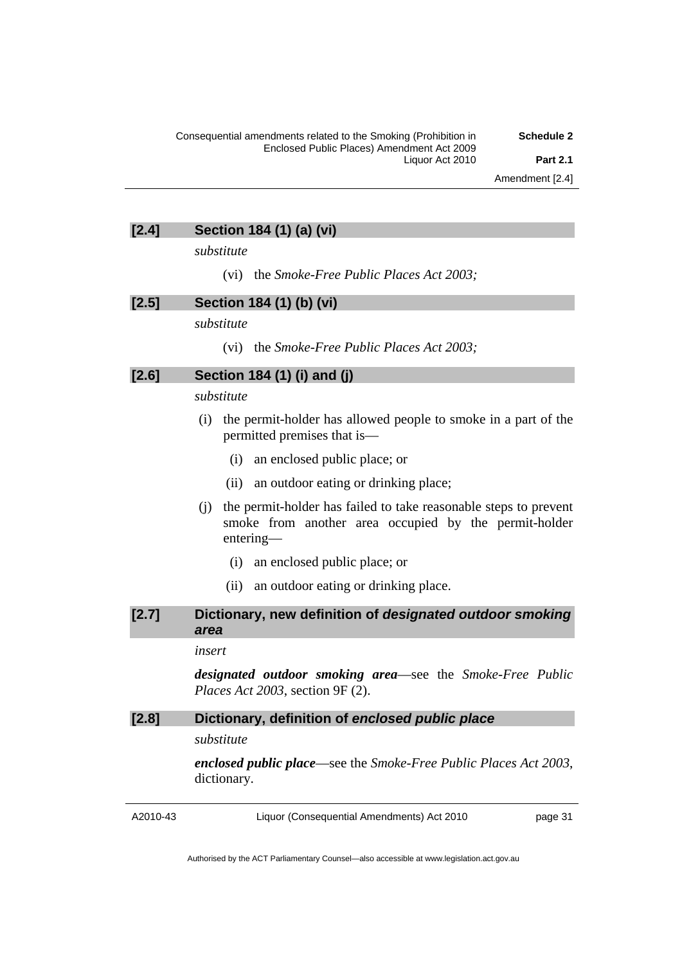### **[2.4] Section 184 (1) (a) (vi)**

*substitute* 

(vi) the *Smoke-Free Public Places Act 2003;* 

#### **[2.5] Section 184 (1) (b) (vi)**

*substitute* 

(vi) the *Smoke-Free Public Places Act 2003;* 

#### **[2.6] Section 184 (1) (i) and (j)**

*substitute* 

- (i) the permit-holder has allowed people to smoke in a part of the permitted premises that is—
	- (i) an enclosed public place; or
	- (ii) an outdoor eating or drinking place;
- (j) the permit-holder has failed to take reasonable steps to prevent smoke from another area occupied by the permit-holder entering—
	- (i) an enclosed public place; or
	- (ii) an outdoor eating or drinking place.

### **[2.7] Dictionary, new definition of** *designated outdoor smoking area*

#### *insert*

*designated outdoor smoking area*—see the *Smoke-Free Public Places Act 2003*, section 9F (2).

### **[2.8] Dictionary, definition of** *enclosed public place*

*substitute* 

*enclosed public place*—see the *Smoke-Free Public Places Act 2003*, dictionary.

A2010-43

Liquor (Consequential Amendments) Act 2010

page 31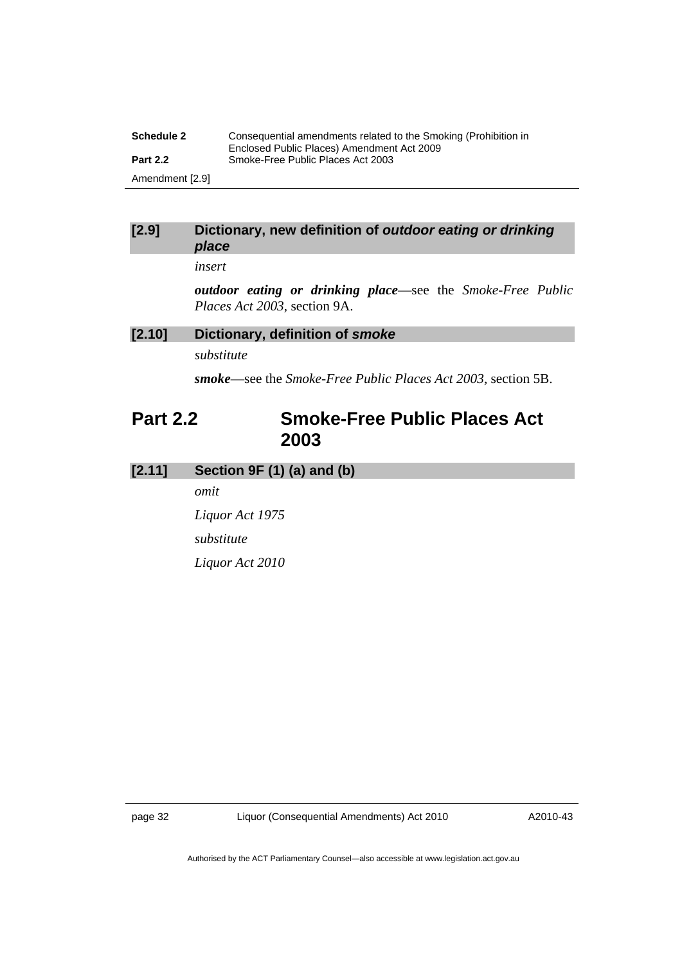<span id="page-33-0"></span>

| <b>Schedule 2</b> | Consequential amendments related to the Smoking (Prohibition in<br>Enclosed Public Places) Amendment Act 2009 |
|-------------------|---------------------------------------------------------------------------------------------------------------|
| <b>Part 2.2</b>   | Smoke-Free Public Places Act 2003                                                                             |
| Amendment [2.9]   |                                                                                                               |

#### **[2.9] Dictionary, new definition of** *outdoor eating or drinking place*

*insert* 

*outdoor eating or drinking place*—see the *Smoke-Free Public Places Act 2003*, section 9A.

## **[2.10] Dictionary, definition of** *smoke*

*substitute* 

*smoke*—see the *Smoke-Free Public Places Act 2003*, section 5B.

## **Part 2.2 Smoke-Free Public Places Act 2003**

## **[2.11] Section 9F (1) (a) and (b)**

*omit* 

*Liquor Act 1975 substitute Liquor Act 2010*